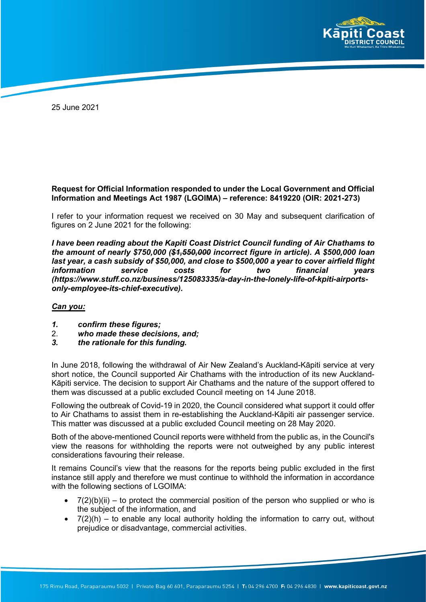

25 June 2021

## **Request for Official Information responded to under the Local Government and Official Information and Meetings Act 1987 (LGOIMA) – reference: 8419220 (OIR: 2021-273)**

I refer to your information request we received on 30 May and subsequent clarification of figures on 2 June 2021 for the following:

*I have been reading about the Kapiti Coast District Council funding of Air Chathams to the amount of nearly \$750,000 (\$1,550,000 incorrect figure in article). A \$500,000 loan last year, a cash subsidy of \$50,000, and close to \$500,000 a year to cover airfield flight information service costs for two financial years (https://www.stuff.co.nz/business/125083335/a-day-in-the-lonely-life-of-kpiti-airportsonly-employee-its-chief-executive).*

## *Can you:*

- *1. confirm these figures;*
- 2. *who made these decisions, and;*
- *3. the rationale for this funding.*

In June 2018, following the withdrawal of Air New Zealand's Auckland-Kāpiti service at very short notice, the Council supported Air Chathams with the introduction of its new Auckland-Kāpiti service. The decision to support Air Chathams and the nature of the support offered to them was discussed at a public excluded Council meeting on 14 June 2018.

Following the outbreak of Covid-19 in 2020, the Council considered what support it could offer to Air Chathams to assist them in re-establishing the Auckland-Kāpiti air passenger service. This matter was discussed at a public excluded Council meeting on 28 May 2020.

Both of the above-mentioned Council reports were withheld from the public as, in the Council's view the reasons for withholding the reports were not outweighed by any public interest considerations favouring their release.

It remains Council's view that the reasons for the reports being public excluded in the first instance still apply and therefore we must continue to withhold the information in accordance with the following sections of LGOIMA:

- $7(2)(b)(ii)$  to protect the commercial position of the person who supplied or who is the subject of the information, and
- $\bullet$  7(2)(h) to enable any local authority holding the information to carry out, without prejudice or disadvantage, commercial activities.